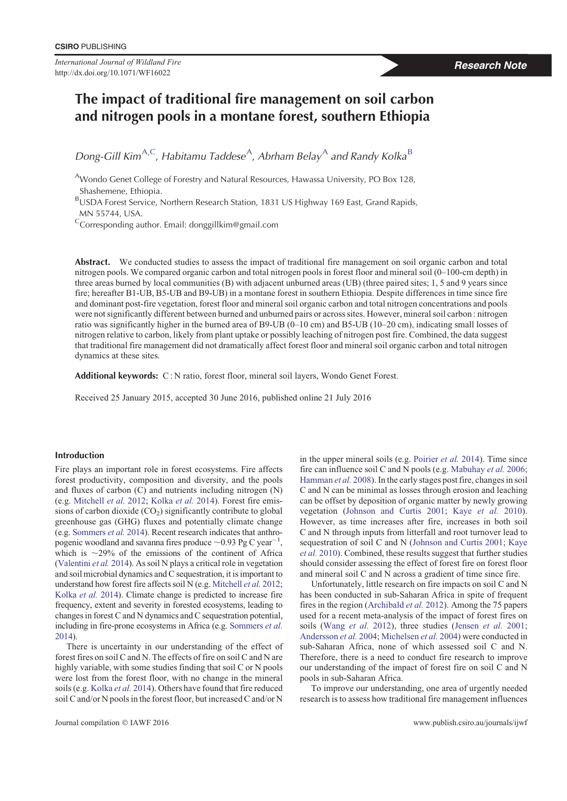*International Journal of Wildland Fire* http://dx.doi.org/10.1071/WF16022

# **The impact of traditional fire management on soil carbon and nitrogen pools in a montane forest, southern Ethiopia**

*Dong-Gill Kim<sup>A,C</sup>, <i>Habitamu Taddese<sup>A</sup>*, *Abrham Belay*<sup>A</sup> *and Randy Kolka*<sup>B</sup>

<sup>A</sup>Wondo Genet College of Forestry and Natural Resources, Hawassa University, PO Box 128, Shashemene, Ethiopia.

BUSDA Forest Service, Northern Research Station, 1831 US Highway 169 East, Grand Rapids, MN 55744, USA.

 $\text{C}$ Corresponding author. Email: donggillkim@gmail.com

Abstract. We conducted studies to assess the impact of traditional fire management on soil organic carbon and total nitrogen pools. We compared organic carbon and total nitrogen pools in forest floor and mineral soil (0–100-cm depth) in three areas burned by local communities (B) with adjacent unburned areas (UB) (three paired sites; 1, 5 and 9 years since fire; hereafter B1-UB, B5-UB and B9-UB) in a montane forest in southern Ethiopia. Despite differences in time since fire and dominant post-fire vegetation, forest floor and mineral soil organic carbon and total nitrogen concentrations and pools were not significantly different between burned and unburned pairs or across sites. However, mineral soil carbon : nitrogen ratio was significantly higher in the burned area of B9-UB (0–10 cm) and B5-UB (10–20 cm), indicating small losses of nitrogen relative to carbon, likely from plant uptake or possibly leaching of nitrogen post fire. Combined, the data suggest that traditional fire management did not dramatically affect forest floor and mineral soil organic carbon and total nitrogen dynamics at these sites.

**Additional keywords:** C : N ratio, forest floor, mineral soil layers, Wondo Genet Forest.

Received 25 January 2015, accepted 30 June 2016, published online 21 July 2016

# **Introduction**

Fire plays an important role in forest ecosystems. Fire affects forest productivity, composition and diversity, and the pools and fluxes of carbon (C) and nutrients including nitrogen (N) (e.g. [Mitchell](#page-5-0) *et al.* 2012; [Kolka](#page-5-0) *et al.* 2014). Forest fire emissions of carbon dioxide  $(CO<sub>2</sub>)$  significantly contribute to global greenhouse gas (GHG) fluxes and potentially climate change (e.g. [Sommers](#page-5-0) *et al.* 2014). Recent research indicates that anthropogenic woodland and savanna fires produce  $\sim$  0.93 Pg C year<sup>-1</sup>, which is  $\sim$ 29% of the emissions of the continent of Africa ([Valentini](#page-5-0) *et al.* 2014). As soil N plays a critical role in vegetation and soil microbial dynamics and C sequestration, it is important to understand how forest fire affects soil N (e.g. [Mitchell](#page-5-0) *et al.* 2012; [Kolka](#page-5-0) *et al.* 2014). Climate change is predicted to increase fire frequency, extent and severity in forested ecosystems, leading to changes in forest C and N dynamics and C sequestration potential, including in fire-prone ecosystems in Africa (e.g. [Sommers](#page-5-0) *et al.* [2014](#page-5-0)).

There is uncertainty in our understanding of the effect of forest fires on soil C and N. The effects of fire on soil C and N are highly variable, with some studies finding that soil C or N pools were lost from the forest floor, with no change in the mineral soils (e.g. [Kolka](#page-5-0) *et al.* 2014). Others have found that fire reduced soil C and/or N pools in the forest floor, but increased C and/or N in the upper mineral soils (e.g. [Poirier](#page-5-0) *et al.* 2014). Time since fire can influence soil C and N pools (e.g. [Mabuhay](#page-5-0) *et al.* 2006; [Hamman](#page-5-0) *et al.* 2008). In the early stages post fire, changes in soil C and N can be minimal as losses through erosion and leaching can be offset by deposition of organic matter by newly growing vegetation [\(Johnson and Curtis 2001](#page-5-0); Kaye *[et al.](#page-5-0)* 2010). However, as time increases after fire, increases in both soil C and N through inputs from litterfall and root turnover lead to sequestration of soil C and N [\(Johnson and Curtis 2001](#page-5-0); [Kaye](#page-5-0) *et al.* [2010](#page-5-0)). Combined, these results suggest that further studies should consider assessing the effect of forest fire on forest floor and mineral soil C and N across a gradient of time since fire.

Unfortunately, little research on fire impacts on soil C and N has been conducted in sub-Saharan Africa in spite of frequent fires in the region [\(Archibald](#page-4-0) *et al.* 2012). Among the 75 papers used for a recent meta-analysis of the impact of forest fires on soils ([Wang](#page-6-0) *et al.* 2012), three studies ([Jensen](#page-5-0) *et al.* 2001; [Andersson](#page-4-0) *et al.* 2004; [Michelsen](#page-5-0) *et al.* 2004) were conducted in sub-Saharan Africa, none of which assessed soil C and N. Therefore, there is a need to conduct fire research to improve our understanding of the impact of forest fire on soil C and N pools in sub-Saharan Africa.

To improve our understanding, one area of urgently needed research is to assess how traditional fire management influences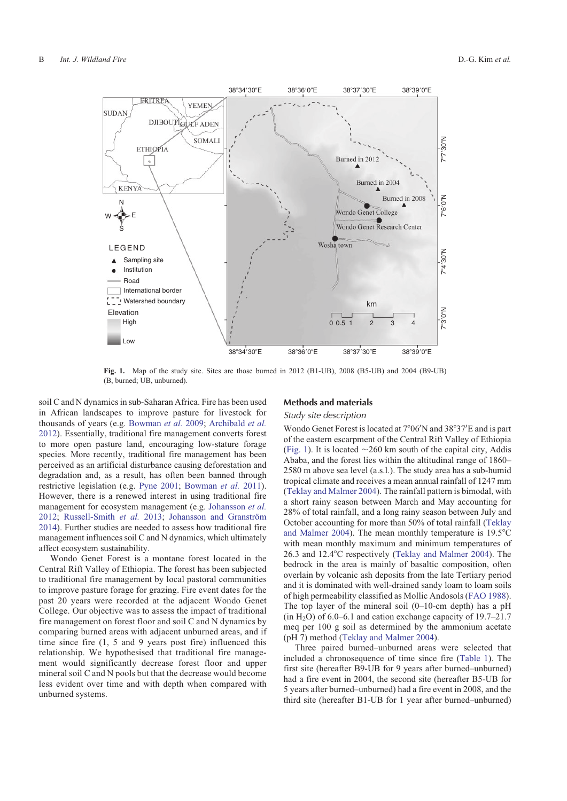<span id="page-1-0"></span>

**Fig. 1.** Map of the study site. Sites are those burned in 2012 (B1-UB), 2008 (B5-UB) and 2004 (B9-UB) (B, burned; UB, unburned).

soil C and N dynamics in sub-Saharan Africa. Fire has been used in African landscapes to improve pasture for livestock for thousands of years (e.g. [Bowman](#page-4-0) *et al.* 2009; [Archibald](#page-4-0) *et al.* [2012\)](#page-4-0). Essentially, traditional fire management converts forest to more open pasture land, encouraging low-stature forage species. More recently, traditional fire management has been perceived as an artificial disturbance causing deforestation and degradation and, as a result, has often been banned through restrictive legislation (e.g. [Pyne 2001;](#page-5-0) [Bowman](#page-5-0) *et al.* 2011). However, there is a renewed interest in using traditional fire management for ecosystem management (e.g. [Johansson](#page-5-0) *et al.* [2012;](#page-5-0) [Russell-Smith](#page-5-0) et al. 2013; Johansson and Granström [2014\)](#page-5-0). Further studies are needed to assess how traditional fire management influences soil C and N dynamics, which ultimately affect ecosystem sustainability.

Wondo Genet Forest is a montane forest located in the Central Rift Valley of Ethiopia. The forest has been subjected to traditional fire management by local pastoral communities to improve pasture forage for grazing. Fire event dates for the past 20 years were recorded at the adjacent Wondo Genet College. Our objective was to assess the impact of traditional fire management on forest floor and soil C and N dynamics by comparing burned areas with adjacent unburned areas, and if time since fire (1, 5 and 9 years post fire) influenced this relationship. We hypothesised that traditional fire management would significantly decrease forest floor and upper mineral soil C and N pools but that the decrease would become less evident over time and with depth when compared with unburned systems.

# **Methods and materials**

## *Study site description*

Wondo Genet Forest is located at 7°06'N and 38°37'E and is part of the eastern escarpment of the Central Rift Valley of Ethiopia (Fig. 1). It is located  $\sim$  260 km south of the capital city, Addis Ababa, and the forest lies within the altitudinal range of 1860– 2580 m above sea level (a.s.l.). The study area has a sub-humid tropical climate and receives a mean annual rainfall of 1247 mm [\(Teklay and Malmer 2004](#page-5-0)). The rainfall pattern is bimodal, with a short rainy season between March and May accounting for 28% of total rainfall, and a long rainy season between July and October accounting for more than 50% of total rainfall ([Teklay](#page-5-0) [and Malmer 2004](#page-5-0)). The mean monthly temperature is  $19.5^{\circ}$ C with mean monthly maximum and minimum temperatures of 26.3 and 12.4°C respectively [\(Teklay and Malmer 2004\)](#page-5-0). The bedrock in the area is mainly of basaltic composition, often overlain by volcanic ash deposits from the late Tertiary period and it is dominated with well-drained sandy loam to loam soils of high permeability classified as Mollic Andosols ([FAO 1988](#page-5-0)). The top layer of the mineral soil  $(0-10$ -cm depth) has a pH  $(in H<sub>2</sub>O)$  of 6.0–6.1 and cation exchange capacity of 19.7–21.7 meq per 100 g soil as determined by the ammonium acetate (pH 7) method [\(Teklay and Malmer 2004\)](#page-5-0).

Three paired burned–unburned areas were selected that included a chronosequence of time since fire ([Table 1\)](#page-2-0). The first site (hereafter B9-UB for 9 years after burned–unburned) had a fire event in 2004, the second site (hereafter B5-UB for 5 years after burned–unburned) had a fire event in 2008, and the third site (hereafter B1-UB for 1 year after burned–unburned)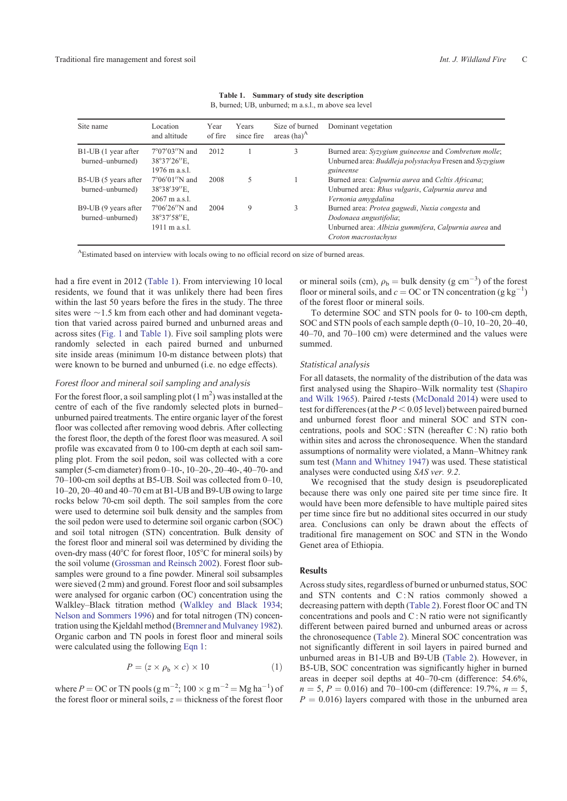<span id="page-2-0"></span>

| Site name                                | Location<br>and altitude                                         | Year<br>of fire | Years<br>since fire | Size of burned<br>areas $(ha)^A$ | Dominant vegetation                                                                                                                                        |
|------------------------------------------|------------------------------------------------------------------|-----------------|---------------------|----------------------------------|------------------------------------------------------------------------------------------------------------------------------------------------------------|
| B1-UB (1 year after<br>burned-unburned)  | $7^{\circ}07'03''$ N and<br>38°37'26"E.<br>1976 m a.s.l.         | 2012            |                     | 3                                | Burned area: Syzygium guineense and Combretum molle;<br>Unburned area: Buddleja polystachya Fresen and Syzygium<br>guineense                               |
| B5-UB (5 years after<br>burned-unburned) | $7^{\circ}06'01''$ N and<br>38°38'39"E.<br>$2067 \text{ m a.s.}$ | 2008            |                     |                                  | Burned area: Calpurnia aurea and Celtis Africana;<br>Unburned area: Rhus vulgaris, Calpurnia aurea and<br>Vernonia amygdalina                              |
| B9-UB (9 years after<br>burned-unburned) | $7^{\circ}06'26''$ N and<br>38°37'58"E.<br>1911 m a.s.l.         | 2004            | 9                   | 3                                | Burned area: Protea gaguedi, Nuxia congesta and<br>Dodonaea angustifolia;<br>Unburned area: Albizia gummifera, Calpurnia aurea and<br>Croton macrostachyus |

| Table 1.                                             | Summary of study site description |  |  |  |
|------------------------------------------------------|-----------------------------------|--|--|--|
| B, burned; UB, unburned; m a.s.l., m above sea level |                                   |  |  |  |

AEstimated based on interview with locals owing to no official record on size of burned areas.

had a fire event in 2012 (Table 1). From interviewing 10 local residents, we found that it was unlikely there had been fires within the last 50 years before the fires in the study. The three sites were  $\sim$  1.5 km from each other and had dominant vegetation that varied across paired burned and unburned areas and across sites ([Fig. 1](#page-1-0) and Table 1). Five soil sampling plots were randomly selected in each paired burned and unburned site inside areas (minimum 10-m distance between plots) that were known to be burned and unburned (i.e. no edge effects).

# *Forest floor and mineral soil sampling and analysis*

For the forest floor, a soil sampling plot  $(1 \text{ m}^2)$  was installed at the centre of each of the five randomly selected plots in burned– unburned paired treatments. The entire organic layer of the forest floor was collected after removing wood debris. After collecting the forest floor, the depth of the forest floor was measured. A soil profile was excavated from 0 to 100-cm depth at each soil sampling plot. From the soil pedon, soil was collected with a core sampler (5-cm diameter) from 0–10-, 10–20-, 20–40-, 40–70- and 70–100-cm soil depths at B5-UB. Soil was collected from 0–10, 10–20, 20–40 and 40–70 cm at B1-UB and B9-UB owing to large rocks below 70-cm soil depth. The soil samples from the core were used to determine soil bulk density and the samples from the soil pedon were used to determine soil organic carbon (SOC) and soil total nitrogen (STN) concentration. Bulk density of the forest floor and mineral soil was determined by dividing the oven-dry mass (40 $^{\circ}$ C for forest floor, 105 $^{\circ}$ C for mineral soils) by the soil volume ([Grossman and Reinsch 2002](#page-5-0)). Forest floor subsamples were ground to a fine powder. Mineral soil subsamples were sieved (2 mm) and ground. Forest floor and soil subsamples were analysed for organic carbon (OC) concentration using the Walkley–Black titration method [\(Walkley and Black 1934](#page-6-0); [Nelson and Sommers 1996\)](#page-5-0) and for total nitrogen (TN) concentration using the Kjeldahl method [\(Bremner and Mulvaney 1982](#page-5-0)). Organic carbon and TN pools in forest floor and mineral soils were calculated using the following Eqn 1:

$$
P = (z \times \rho_b \times c) \times 10 \tag{1}
$$

where  $P = OC$  or TN pools (g m<sup>-2</sup>; 100  $\times$  g m<sup>-2</sup> = Mg ha<sup>-1</sup>) of the forest floor or mineral soils,  $z =$  thickness of the forest floor

or mineral soils (cm),  $\rho_b = \text{bulk density (g cm}^{-3})$  of the forest floor or mineral soils, and  $c = OC$  or TN concentration (g kg<sup>-1</sup>) of the forest floor or mineral soils.

To determine SOC and STN pools for 0- to 100-cm depth, SOC and STN pools of each sample depth (0–10, 10–20, 20–40, 40–70, and 70–100 cm) were determined and the values were summed.

#### *Statistical analysis*

For all datasets, the normality of the distribution of the data was first analysed using the Shapiro–Wilk normality test [\(Shapiro](#page-5-0) [and Wilk 1965](#page-5-0)). Paired *t*-tests ([McDonald 2014\)](#page-5-0) were used to test for differences (at the  $P < 0.05$  level) between paired burned and unburned forest floor and mineral SOC and STN concentrations, pools and SOC : STN (hereafter C : N) ratio both within sites and across the chronosequence. When the standard assumptions of normality were violated, a Mann–Whitney rank sum test [\(Mann and Whitney 1947](#page-5-0)) was used. These statistical analyses were conducted using *SAS ver. 9.2*.

We recognised that the study design is pseudoreplicated because there was only one paired site per time since fire. It would have been more defensible to have multiple paired sites per time since fire but no additional sites occurred in our study area. Conclusions can only be drawn about the effects of traditional fire management on SOC and STN in the Wondo Genet area of Ethiopia.

# **Results**

Across study sites, regardless of burned or unburned status, SOC and STN contents and C:N ratios commonly showed a decreasing pattern with depth ([Table 2](#page-3-0)). Forest floor OC and TN concentrations and pools and C : N ratio were not significantly different between paired burned and unburned areas or across the chronosequence [\(Table 2](#page-3-0)). Mineral SOC concentration was not significantly different in soil layers in paired burned and unburned areas in B1-UB and B9-UB [\(Table 2\)](#page-3-0). However, in B5-UB, SOC concentration was significantly higher in burned areas in deeper soil depths at 40–70-cm (difference: 54.6%,  $n = 5$ ,  $P = 0.016$ ) and 70–100-cm (difference: 19.7%,  $n = 5$ ,  $P = 0.016$ ) layers compared with those in the unburned area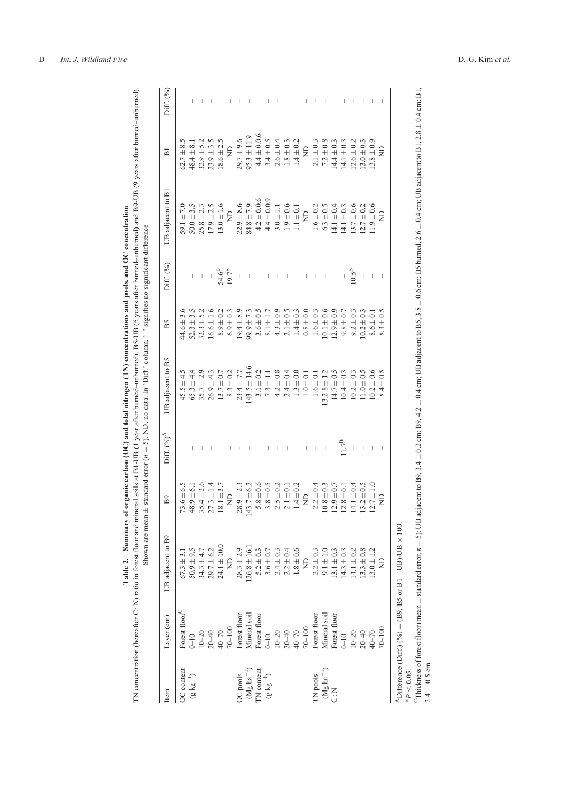| $\Xi$<br>$\Xi$<br>$54.6^{B}$<br>19.7 <sup>B</sup><br>$10.5^B$<br>$\begin{array}{c} \hline \end{array}$<br>$\vert$<br>$\mid$<br>$\overline{\phantom{a}}$<br>$\mathsf I$<br>$\mid$<br>$44.6 \pm 3.6$<br>$32.3 \pm 5.2$<br>$8.1 \pm 1.7$<br>$4.3 \pm 0.9$<br>$2.1 \pm 0.5$<br>$0.1 \pm 0.6$<br>$12.9 \pm 0.9$<br>$52.3 \pm 3.5$<br>$16.6 \pm 1.6$<br>$8.9 \pm 0.2$<br>$6.9 \pm 0.3$<br>$19.4 \pm 8.9$<br>$99.9 \pm 7.3$<br>$3.6 \pm 0.5$<br>$1.4 \pm 0.3$<br>$0.8 \pm 0.0$<br>$1.6 \pm 0.3$<br>$9.8 \pm 0.7$<br>$9.2 \pm 0.3$<br>$0.2 \pm 0.3$<br>$8.6 \pm 0.1$<br>$43.5 \pm 14.6$<br>$23.4 \pm 7.7$<br>$3.1 \pm 0.2$<br>$4.2 \pm 0.8$<br>$45.5 \pm 4.5$<br>$65.3 \pm 4.4$<br>$13.7 \pm 0.7$<br>$8.3 \pm 0.2$<br>$2.4 \pm 0.4$<br>$1.3 \pm 0.0$<br>$10.2 \pm 0.6$<br>$35.7 \pm 2.9$<br>$7.3 \pm 1.1$<br>$3.2.8 \pm 1.2$<br>$14.7 \pm 0.5$<br>$10.4 \pm 0.3$<br>$26.9 \pm 4.3$<br>$10.2 \pm 0.3$<br>$1.0 \pm 0.5$<br>$1.0 \pm 0.1$<br>$1.6 \pm 0.1$<br>1.7 <sup>B</sup><br>$\mid$<br>$\parallel$<br>I<br>I<br>$\overline{\phantom{a}}$<br>$\mathsf{I}$<br>$73.6 \pm 6.5$<br>$28.9 \pm 2.3$<br>$143.7 \pm 6.2$<br>$5.8 \pm 0.6$<br>$3.8 \pm 0.5$<br>$2.5 \pm 0.2$<br>$1.4 \pm 0.2$<br>$2.2 \pm 0.4$<br>$10.8 \pm 0.3$<br>$4.1 \pm 0.4$<br>$2.7 \pm 1.0$<br>$35.4 \pm 2.6$<br>$18.1 \pm 3.7$<br>$2.9 \pm 0.7$<br>$3.2 \pm 0.5$<br>$2.1 \pm 0.1$<br>$2.8 \pm 0.1$<br>$48.9 \pm 6.1$<br>$27.3 \pm 1.4$<br>$\Xi$<br>$\frac{D}{Z}$<br>$50.9 \pm 9.5$<br>$34.3 \pm 4.7$<br>$29.7 \pm 6.2$<br>$24.1 \pm 10.0$<br>$28.3 \pm 2.9$<br>$126.8 \pm 16.$<br>$5.2 \pm 0.3$<br>$3.6\pm0.7$<br>$1.8 \pm 0.6$<br>$3.0 \pm 1.2$<br>$2.4 \pm 0.3$<br>$2.2 \pm 0.4$<br>$.3.3 \pm 0.8$<br>$2.2 \pm 0.3$<br>9.1 $\pm$ 1.0<br>$13.1 \pm 0.3$<br>$14.3 \pm 0.3$<br>$14.1 \pm 0.2$<br>$67.3 \pm 3.1$<br>$\trianglerighteq$<br>$\beta$<br>Forest floor <sup>C</sup><br>Forest floor<br>Mineral soil<br>Forest floor<br>0-10<br>10-20<br>20-40<br>20-40<br>40-70<br>70-100<br>Forest floor<br>Forest floor<br>Mineral soil<br>Forest floor<br>$10-20$<br>$20-40$<br>$40-70$<br>$70-100$<br>$10-20$<br>$20-40$<br>$40-70$<br>$0 - 10$<br>$0 - 10$<br>$\begin{array}{c} \text{TN pools} \\ (\text{Mg ha}^{-1}) \\ \text{C:N} \end{array}$<br>OC content<br>$(\mathrm{Mg~ha}^{-1})$<br>$\Gamma N$ content<br>(g kg <sup>-1</sup> )<br>OC pools<br>$(g \log^{-1})$ | UB adjacent to B9 | Diff. $(\%)^A$<br>B <sub>9</sub> | UB adjacent to B5 | B5 | Diff. (%) | UB adjacent to B1 | $\overline{\mathbf{u}}$ | Diff. $(%$ |
|--------------------------------------------------------------------------------------------------------------------------------------------------------------------------------------------------------------------------------------------------------------------------------------------------------------------------------------------------------------------------------------------------------------------------------------------------------------------------------------------------------------------------------------------------------------------------------------------------------------------------------------------------------------------------------------------------------------------------------------------------------------------------------------------------------------------------------------------------------------------------------------------------------------------------------------------------------------------------------------------------------------------------------------------------------------------------------------------------------------------------------------------------------------------------------------------------------------------------------------------------------------------------------------------------------------------------------------------------------------------------------------------------------------------------------------------------------------------------------------------------------------------------------------------------------------------------------------------------------------------------------------------------------------------------------------------------------------------------------------------------------------------------------------------------------------------------------------------------------------------------------------------------------------------------------------------------------------------------------------------------------------------------------------------------------------------------------------------------------------------------------------------------------------------------------------------------------------------------------------------------------------------------------------------------------------------------------|-------------------|----------------------------------|-------------------|----|-----------|-------------------|-------------------------|------------|
|                                                                                                                                                                                                                                                                                                                                                                                                                                                                                                                                                                                                                                                                                                                                                                                                                                                                                                                                                                                                                                                                                                                                                                                                                                                                                                                                                                                                                                                                                                                                                                                                                                                                                                                                                                                                                                                                                                                                                                                                                                                                                                                                                                                                                                                                                                                                |                   |                                  |                   |    |           | 59.1 $\pm$ 7.0    | $62.7 \pm 8.5$          |            |
|                                                                                                                                                                                                                                                                                                                                                                                                                                                                                                                                                                                                                                                                                                                                                                                                                                                                                                                                                                                                                                                                                                                                                                                                                                                                                                                                                                                                                                                                                                                                                                                                                                                                                                                                                                                                                                                                                                                                                                                                                                                                                                                                                                                                                                                                                                                                |                   |                                  |                   |    |           | $50.0 \pm 3.5$    | $48.4 \pm 8.1$          |            |
|                                                                                                                                                                                                                                                                                                                                                                                                                                                                                                                                                                                                                                                                                                                                                                                                                                                                                                                                                                                                                                                                                                                                                                                                                                                                                                                                                                                                                                                                                                                                                                                                                                                                                                                                                                                                                                                                                                                                                                                                                                                                                                                                                                                                                                                                                                                                |                   |                                  |                   |    |           | $25.8 \pm 2.3$    | $32.9 \pm 5.2$          |            |
|                                                                                                                                                                                                                                                                                                                                                                                                                                                                                                                                                                                                                                                                                                                                                                                                                                                                                                                                                                                                                                                                                                                                                                                                                                                                                                                                                                                                                                                                                                                                                                                                                                                                                                                                                                                                                                                                                                                                                                                                                                                                                                                                                                                                                                                                                                                                |                   |                                  |                   |    |           | $17.9 \pm 2.5$    | $23.9 \pm 3.5$          |            |
|                                                                                                                                                                                                                                                                                                                                                                                                                                                                                                                                                                                                                                                                                                                                                                                                                                                                                                                                                                                                                                                                                                                                                                                                                                                                                                                                                                                                                                                                                                                                                                                                                                                                                                                                                                                                                                                                                                                                                                                                                                                                                                                                                                                                                                                                                                                                |                   |                                  |                   |    |           | $13.0 \pm 1.6$    | $18.6 \pm 2.5$          |            |
|                                                                                                                                                                                                                                                                                                                                                                                                                                                                                                                                                                                                                                                                                                                                                                                                                                                                                                                                                                                                                                                                                                                                                                                                                                                                                                                                                                                                                                                                                                                                                                                                                                                                                                                                                                                                                                                                                                                                                                                                                                                                                                                                                                                                                                                                                                                                |                   |                                  |                   |    |           |                   | $\Xi$                   |            |
|                                                                                                                                                                                                                                                                                                                                                                                                                                                                                                                                                                                                                                                                                                                                                                                                                                                                                                                                                                                                                                                                                                                                                                                                                                                                                                                                                                                                                                                                                                                                                                                                                                                                                                                                                                                                                                                                                                                                                                                                                                                                                                                                                                                                                                                                                                                                |                   |                                  |                   |    |           | $22.9 \pm 8.6$    | $29.7 \pm 9.6$          |            |
|                                                                                                                                                                                                                                                                                                                                                                                                                                                                                                                                                                                                                                                                                                                                                                                                                                                                                                                                                                                                                                                                                                                                                                                                                                                                                                                                                                                                                                                                                                                                                                                                                                                                                                                                                                                                                                                                                                                                                                                                                                                                                                                                                                                                                                                                                                                                |                   |                                  |                   |    |           | $84.8 \pm 7.9$    | $95.3 \pm 11.9$         |            |
|                                                                                                                                                                                                                                                                                                                                                                                                                                                                                                                                                                                                                                                                                                                                                                                                                                                                                                                                                                                                                                                                                                                                                                                                                                                                                                                                                                                                                                                                                                                                                                                                                                                                                                                                                                                                                                                                                                                                                                                                                                                                                                                                                                                                                                                                                                                                |                   |                                  |                   |    |           | $4.2 \pm 0.0.6$   | $4.4 \pm 0.0.6$         |            |
|                                                                                                                                                                                                                                                                                                                                                                                                                                                                                                                                                                                                                                                                                                                                                                                                                                                                                                                                                                                                                                                                                                                                                                                                                                                                                                                                                                                                                                                                                                                                                                                                                                                                                                                                                                                                                                                                                                                                                                                                                                                                                                                                                                                                                                                                                                                                |                   |                                  |                   |    |           | $4.4 \pm 0.0.9$   | $3.4 \pm 0.5$           |            |
|                                                                                                                                                                                                                                                                                                                                                                                                                                                                                                                                                                                                                                                                                                                                                                                                                                                                                                                                                                                                                                                                                                                                                                                                                                                                                                                                                                                                                                                                                                                                                                                                                                                                                                                                                                                                                                                                                                                                                                                                                                                                                                                                                                                                                                                                                                                                |                   |                                  |                   |    |           | $3.0 \pm 1.1$     | $2.6 \pm 0.4$           |            |
|                                                                                                                                                                                                                                                                                                                                                                                                                                                                                                                                                                                                                                                                                                                                                                                                                                                                                                                                                                                                                                                                                                                                                                                                                                                                                                                                                                                                                                                                                                                                                                                                                                                                                                                                                                                                                                                                                                                                                                                                                                                                                                                                                                                                                                                                                                                                |                   |                                  |                   |    |           | $1.9 \pm 0.6$     | $1.8 \pm 0.3$           |            |
|                                                                                                                                                                                                                                                                                                                                                                                                                                                                                                                                                                                                                                                                                                                                                                                                                                                                                                                                                                                                                                                                                                                                                                                                                                                                                                                                                                                                                                                                                                                                                                                                                                                                                                                                                                                                                                                                                                                                                                                                                                                                                                                                                                                                                                                                                                                                |                   |                                  |                   |    |           | $1.1 \pm 0.1$     | $1.4 \pm 0.2$           |            |
|                                                                                                                                                                                                                                                                                                                                                                                                                                                                                                                                                                                                                                                                                                                                                                                                                                                                                                                                                                                                                                                                                                                                                                                                                                                                                                                                                                                                                                                                                                                                                                                                                                                                                                                                                                                                                                                                                                                                                                                                                                                                                                                                                                                                                                                                                                                                |                   |                                  |                   |    |           |                   | $\beta$                 |            |
|                                                                                                                                                                                                                                                                                                                                                                                                                                                                                                                                                                                                                                                                                                                                                                                                                                                                                                                                                                                                                                                                                                                                                                                                                                                                                                                                                                                                                                                                                                                                                                                                                                                                                                                                                                                                                                                                                                                                                                                                                                                                                                                                                                                                                                                                                                                                |                   |                                  |                   |    |           | $1.6 \pm 0.2$     | $2.1 \pm 0.3$           |            |
|                                                                                                                                                                                                                                                                                                                                                                                                                                                                                                                                                                                                                                                                                                                                                                                                                                                                                                                                                                                                                                                                                                                                                                                                                                                                                                                                                                                                                                                                                                                                                                                                                                                                                                                                                                                                                                                                                                                                                                                                                                                                                                                                                                                                                                                                                                                                |                   |                                  |                   |    |           | $6.3 \pm 0.5$     | $7.2 \pm 0.8$           |            |
|                                                                                                                                                                                                                                                                                                                                                                                                                                                                                                                                                                                                                                                                                                                                                                                                                                                                                                                                                                                                                                                                                                                                                                                                                                                                                                                                                                                                                                                                                                                                                                                                                                                                                                                                                                                                                                                                                                                                                                                                                                                                                                                                                                                                                                                                                                                                |                   |                                  |                   |    |           | $4.1 \pm 0.4$     | $14.4 \pm 0.3$          |            |
|                                                                                                                                                                                                                                                                                                                                                                                                                                                                                                                                                                                                                                                                                                                                                                                                                                                                                                                                                                                                                                                                                                                                                                                                                                                                                                                                                                                                                                                                                                                                                                                                                                                                                                                                                                                                                                                                                                                                                                                                                                                                                                                                                                                                                                                                                                                                |                   |                                  |                   |    |           | $14.1 \pm 0.3$    | $4.1 \pm 0.3$           |            |
|                                                                                                                                                                                                                                                                                                                                                                                                                                                                                                                                                                                                                                                                                                                                                                                                                                                                                                                                                                                                                                                                                                                                                                                                                                                                                                                                                                                                                                                                                                                                                                                                                                                                                                                                                                                                                                                                                                                                                                                                                                                                                                                                                                                                                                                                                                                                |                   |                                  |                   |    |           | $13.7 \pm 0.6$    | $12.6 \pm 0.2$          |            |
|                                                                                                                                                                                                                                                                                                                                                                                                                                                                                                                                                                                                                                                                                                                                                                                                                                                                                                                                                                                                                                                                                                                                                                                                                                                                                                                                                                                                                                                                                                                                                                                                                                                                                                                                                                                                                                                                                                                                                                                                                                                                                                                                                                                                                                                                                                                                |                   |                                  |                   |    |           | $12.7 \pm 0.2$    | $13.0 \pm 0.3$          |            |
|                                                                                                                                                                                                                                                                                                                                                                                                                                                                                                                                                                                                                                                                                                                                                                                                                                                                                                                                                                                                                                                                                                                                                                                                                                                                                                                                                                                                                                                                                                                                                                                                                                                                                                                                                                                                                                                                                                                                                                                                                                                                                                                                                                                                                                                                                                                                |                   |                                  |                   |    |           | $1.9 \pm 0.6$     | $13.8 \pm 0.9$          |            |
| g<br>$8.3 \pm 0.5$<br>$8.4 \pm 0.5$<br>$\Xi$<br>£<br>$70 - 100$                                                                                                                                                                                                                                                                                                                                                                                                                                                                                                                                                                                                                                                                                                                                                                                                                                                                                                                                                                                                                                                                                                                                                                                                                                                                                                                                                                                                                                                                                                                                                                                                                                                                                                                                                                                                                                                                                                                                                                                                                                                                                                                                                                                                                                                                |                   |                                  |                   |    |           |                   | £                       |            |

<span id="page-3-0"></span>TN concentration (hereafter C: N) ratio in forest floor and mineral soils at B1-UB (1 year after burned-unburned), B5-UB (5 years after burned-unburned) and B9-UB (9 years after burned-unburned).<br>TN concentration (hereaft TN concentration (hereafter C : N) ratio in forest floor and mineral soils at B1-UB (1 year after burned–unburned), B5-UB (5 years after burned–unburned) and B9-UB (9 years after burned–unburned). Table 2. Summary of organic carbon (OC) and total nitrogen (TN) concentrations and pools, and OC concentration Table 2. Summary of organic carbon (OC) and total nitrogen (TN) concentrations and pools, and OC concentration  $\pm$  standard error ( $n = 5$ ). ND, no data. In 'Diff.' column, ' $-$ ' signifies no significant difference Shown are mean

ADifference (Diff.) (%)  $=(B9, B5 \text{ or } B1 - UB)/UB \times 100.$ 

 $P_{\text{B}}$ 

 ${}^{\text{B}}P$  < 0.05.<br><sup>C</sup>Thickness of forest floor (mean  $^{+}$  $\pm$  standard error,  $n = 5$ ): UB adjacent to B9, 3.4  $^+$  $\pm 0.2$  cm; B9, 4.2  $^{+}$  $\pm$  0.4 cm; UB adjacent to B5, 3.8  $^{+}$  $\pm 0.6$  cm; B5 burned, 2.6  $^{+}$  $\pm$  0.4 cm; UB adjacent to B1, 2.8  $^{+}$  $\pm 0.4$  cm; B1, 2.4  $^{+}$  $\pm 0.5$  cm.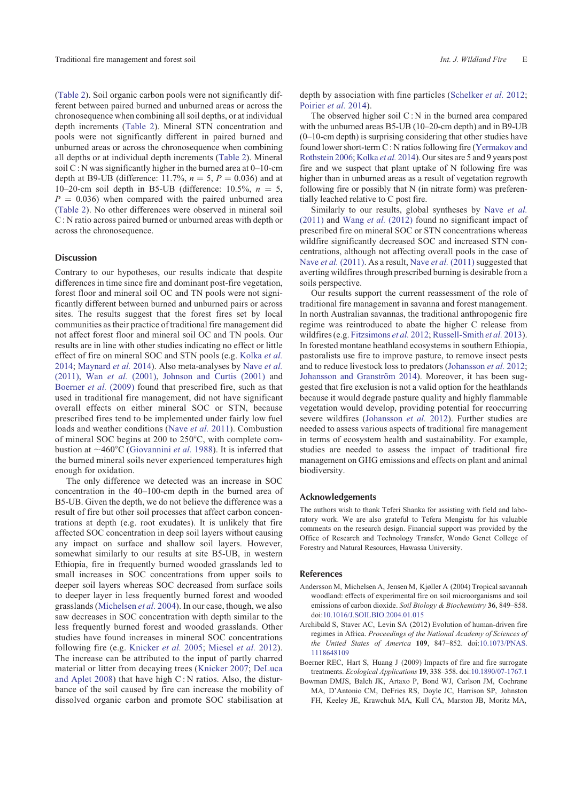<span id="page-4-0"></span>([Table 2\)](#page-3-0). Soil organic carbon pools were not significantly different between paired burned and unburned areas or across the chronosequence when combining all soil depths, or at individual depth increments ([Table 2](#page-3-0)). Mineral STN concentration and pools were not significantly different in paired burned and unburned areas or across the chronosequence when combining all depths or at individual depth increments ([Table 2\)](#page-3-0). Mineral soil  $C: N$  was significantly higher in the burned area at  $0-10$ -cm depth at B9-UB (difference:  $11.7\%$ ,  $n = 5$ ,  $P = 0.036$ ) and at 10–20-cm soil depth in B5-UB (difference:  $10.5\%$ ,  $n = 5$ ,  $P = 0.036$ ) when compared with the paired unburned area ([Table 2](#page-3-0)). No other differences were observed in mineral soil C : N ratio across paired burned or unburned areas with depth or across the chronosequence.

# **Discussion**

Contrary to our hypotheses, our results indicate that despite differences in time since fire and dominant post-fire vegetation, forest floor and mineral soil OC and TN pools were not significantly different between burned and unburned pairs or across sites. The results suggest that the forest fires set by local communities as their practice of traditional fire management did not affect forest floor and mineral soil OC and TN pools. Our results are in line with other studies indicating no effect or little effect of fire on mineral SOC and STN pools (e.g. [Kolka](#page-5-0) *et al.* [2014;](#page-5-0) [Maynard](#page-5-0) *et al.* 2014). Also meta-analyses by [Nave](#page-5-0) *et al.* [\(2011\),](#page-5-0) Wan *et al.* [\(2001\)](#page-6-0), [Johnson and Curtis \(2001\)](#page-5-0) and Boerner *et al.* (2009) found that prescribed fire, such as that used in traditional fire management, did not have significant overall effects on either mineral SOC or STN, because prescribed fires tend to be implemented under fairly low fuel loads and weather conditions ([Nave](#page-5-0) *et al.* 2011). Combustion of mineral SOC begins at 200 to  $250^{\circ}$ C, with complete combustion at  $\sim$ 460°C [\(Giovannini](#page-5-0) *et al.* 1988). It is inferred that the burned mineral soils never experienced temperatures high enough for oxidation.

The only difference we detected was an increase in SOC concentration in the 40–100-cm depth in the burned area of B5-UB. Given the depth, we do not believe the difference was a result of fire but other soil processes that affect carbon concentrations at depth (e.g. root exudates). It is unlikely that fire affected SOC concentration in deep soil layers without causing any impact on surface and shallow soil layers. However, somewhat similarly to our results at site B5-UB, in western Ethiopia, fire in frequently burned wooded grasslands led to small increases in SOC concentrations from upper soils to deeper soil layers whereas SOC decreased from surface soils to deeper layer in less frequently burned forest and wooded grasslands ([Michelsen](#page-5-0) *et al.* 2004). In our case, though, we also saw decreases in SOC concentration with depth similar to the less frequently burned forest and wooded grasslands. Other studies have found increases in mineral SOC concentrations following fire (e.g. [Knicker](#page-5-0) *et al.* 2005; [Miesel](#page-5-0) *et al.* 2012). The increase can be attributed to the input of partly charred material or litter from decaying trees ([Knicker 2007;](#page-5-0) [DeLuca](#page-5-0) [and Aplet 2008\)](#page-5-0) that have high C : N ratios. Also, the disturbance of the soil caused by fire can increase the mobility of dissolved organic carbon and promote SOC stabilisation at depth by association with fine particles [\(Schelker](#page-5-0) *et al.* 2012; [Poirier](#page-5-0) *et al.* 2014).

The observed higher soil  $C: N$  in the burned area compared with the unburned areas B5-UB (10–20-cm depth) and in B9-UB (0–10-cm depth) is surprising considering that other studies have found lower short-term C : N ratios following fire [\(Yermakov and](#page-6-0) [Rothstein 2006](#page-6-0); [Kolka](#page-5-0) *et al.* 2014). Our sites are 5 and 9 years post fire and we suspect that plant uptake of N following fire was higher than in unburned areas as a result of vegetation regrowth following fire or possibly that N (in nitrate form) was preferentially leached relative to C post fire.

Similarly to our results, global syntheses by Nave *[et al.](#page-5-0)* [\(2011\)](#page-5-0) and Wang *et al.* [\(2012\)](#page-6-0) found no significant impact of prescribed fire on mineral SOC or STN concentrations whereas wildfire significantly decreased SOC and increased STN concentrations, although not affecting overall pools in the case of Nave *et al.* [\(2011\).](#page-5-0) As a result, Nave *et al.* [\(2011\)](#page-5-0) suggested that averting wildfires through prescribed burning is desirable from a soils perspective.

Our results support the current reassessment of the role of traditional fire management in savanna and forest management. In north Australian savannas, the traditional anthropogenic fire regime was reintroduced to abate the higher C release from wildfires (e.g. [Fitzsimons](#page-5-0) *et al.* 2012; [Russell-Smith](#page-5-0) *et al.* 2013). In forested montane heathland ecosystems in southern Ethiopia, pastoralists use fire to improve pasture, to remove insect pests and to reduce livestock loss to predators ([Johansson](#page-5-0) *et al.* 2012; Johansson and Granström 2014). Moreover, it has been suggested that fire exclusion is not a valid option for the heathlands because it would degrade pasture quality and highly flammable vegetation would develop, providing potential for reoccurring severe wildfires ([Johansson](#page-5-0) *et al.* 2012). Further studies are needed to assess various aspects of traditional fire management in terms of ecosystem health and sustainability. For example, studies are needed to assess the impact of traditional fire management on GHG emissions and effects on plant and animal biodiversity.

#### **Acknowledgements**

The authors wish to thank Teferi Shanka for assisting with field and laboratory work. We are also grateful to Tefera Mengistu for his valuable comments on the research design. Financial support was provided by the Office of Research and Technology Transfer, Wondo Genet College of Forestry and Natural Resources, Hawassa University.

## **References**

- Andersson M, Michelsen A, Jensen M, Kjøller A (2004) Tropical savannah woodland: effects of experimental fire on soil microorganisms and soil emissions of carbon dioxide. *Soil Biology & Biochemistry* **36**, 849–858. doi[:10.1016/J.SOILBIO.2004.01.015](http://dx.doi.org/10.1016/J.SOILBIO.2004.01.015)
- Archibald S, Staver AC, Levin SA (2012) Evolution of human-driven fire regimes in Africa. *Proceedings of the National Academy of Sciences of the United States of America* **109**, 847–852. doi:[10.1073/PNAS.](http://dx.doi.org/10.1073/PNAS.1118648109) [1118648109](http://dx.doi.org/10.1073/PNAS.1118648109)
- Boerner REC, Hart S, Huang J (2009) Impacts of fire and fire surrogate treatments. *Ecological Applications* **19**, 338–358. doi:[10.1890/07-1767.1](http://dx.doi.org/10.1890/07-1767.1)
- Bowman DMJS, Balch JK, Artaxo P, Bond WJ, Carlson JM, Cochrane MA, D'Antonio CM, DeFries RS, Doyle JC, Harrison SP, Johnston FH, Keeley JE, Krawchuk MA, Kull CA, Marston JB, Moritz MA,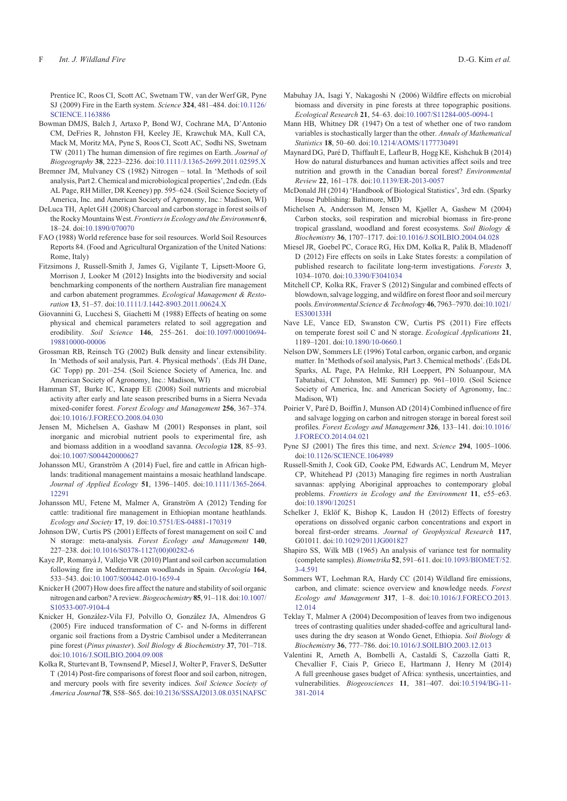<span id="page-5-0"></span>Prentice IC, Roos CI, Scott AC, Swetnam TW, van der Werf GR, Pyne SJ (2009) Fire in the Earth system. *Science* **324**, 481–484. doi:[10.1126/](http://dx.doi.org/10.1126/SCIENCE.1163886) [SCIENCE.1163886](http://dx.doi.org/10.1126/SCIENCE.1163886)

- Bowman DMJS, Balch J, Artaxo P, Bond WJ, Cochrane MA, D'Antonio CM, DeFries R, Johnston FH, Keeley JE, Krawchuk MA, Kull CA, Mack M, Moritz MA, Pyne S, Roos CI, Scott AC, Sodhi NS, Swetnam TW (2011) The human dimension of fire regimes on Earth. *Journal of Biogeography* **38**, 2223–2236. doi[:10.1111/J.1365-2699.2011.02595.X](http://dx.doi.org/10.1111/J.1365-2699.2011.02595.X)
- Bremner JM, Mulvaney CS (1982) Nitrogen total. In 'Methods of soil analysis, Part 2. Chemical and microbiological properties', 2nd edn. (Eds AL Page, RH Miller, DR Keeney) pp. 595–624. (Soil Science Society of America, Inc. and American Society of Agronomy, Inc.: Madison, WI)
- DeLuca TH, Aplet GH (2008) Charcoal and carbon storage in forest soils of the Rocky MountainsWest. *Frontiers in Ecology and the Environment* **6**, 18–24. doi[:10.1890/070070](http://dx.doi.org/10.1890/070070)
- FAO (1988) World reference base for soil resources. World Soil Resources Reports 84. (Food and Agricultural Organization of the United Nations: Rome, Italy)
- Fitzsimons J, Russell-Smith J, James G, Vigilante T, Lipsett-Moore G, Morrison J, Looker M (2012) Insights into the biodiversity and social benchmarking components of the northern Australian fire management and carbon abatement programmes. *Ecological Management & Restoration* **13**, 51–57. doi:[10.1111/J.1442-8903.2011.00624.X](http://dx.doi.org/10.1111/J.1442-8903.2011.00624.X)
- Giovannini G, Lucchesi S, Giachetti M (1988) Effects of heating on some physical and chemical parameters related to soil aggregation and erodibility. *Soil Science* **146**, 255–261. doi[:10.1097/00010694-](http://dx.doi.org/10.1097/00010694-198810000-00006) [198810000-00006](http://dx.doi.org/10.1097/00010694-198810000-00006)
- Grossman RB, Reinsch TG (2002) Bulk density and linear extensibility. In 'Methods of soil analysis, Part. 4. Physical methods'. (Eds JH Dane, GC Topp) pp. 201–254. (Soil Science Society of America, Inc. and American Society of Agronomy, Inc.: Madison, WI)
- Hamman ST, Burke IC, Knapp EE (2008) Soil nutrients and microbial activity after early and late season prescribed burns in a Sierra Nevada mixed-conifer forest. *Forest Ecology and Management* **256**, 367–374. doi[:10.1016/J.FORECO.2008.04.030](http://dx.doi.org/10.1016/J.FORECO.2008.04.030)
- Jensen M, Michelsen A, Gashaw M (2001) Responses in plant, soil inorganic and microbial nutrient pools to experimental fire, ash and biomass addition in a woodland savanna. *Oecologia* **128**, 85–93. doi[:10.1007/S004420000627](http://dx.doi.org/10.1007/S004420000627)
- Johansson MU, Granström A (2014) Fuel, fire and cattle in African highlands: traditional management maintains a mosaic heathland landscape. *Journal of Applied Ecology* **51**, 1396–1405. doi[:10.1111/1365-2664.](http://dx.doi.org/10.1111/1365-2664.12291) [12291](http://dx.doi.org/10.1111/1365-2664.12291)
- Johansson MU, Fetene M, Malmer A, Granström A (2012) Tending for cattle: traditional fire management in Ethiopian montane heathlands. *Ecology and Society* **17**, 19. doi:[10.5751/ES-04881-170319](http://dx.doi.org/10.5751/ES-04881-170319)
- Johnson DW, Curtis PS (2001) Effects of forest management on soil C and N storage: meta-analysis. *Forest Ecology and Management* **140**, 227–238. doi[:10.1016/S0378-1127\(00\)00282-6](http://dx.doi.org/10.1016/S0378-1127(00)00282-6)
- Kaye JP, Romanyà J, Vallejo VR (2010) Plant and soil carbon accumulation following fire in Mediterranean woodlands in Spain. *Oecologia* **164**, 533–543. doi[:10.1007/S00442-010-1659-4](http://dx.doi.org/10.1007/S00442-010-1659-4)
- Knicker H (2007) How does fire affect the nature and stability of soil organic nitrogen and carbon? A review.*Biogeochemistry* **85**, 91–118. doi:[10.1007/](http://dx.doi.org/10.1007/S10533-007-9104-4) [S10533-007-9104-4](http://dx.doi.org/10.1007/S10533-007-9104-4)
- Knicker H, González-Vila FJ, Polvillo O, González JA, Almendros G (2005) Fire induced transformation of C- and N-forms in different organic soil fractions from a Dystric Cambisol under a Mediterranean pine forest (*Pinus pinaster*). *Soil Biology & Biochemistry* **37**, 701–718. doi[:10.1016/J.SOILBIO.2004.09.008](http://dx.doi.org/10.1016/J.SOILBIO.2004.09.008)
- Kolka R, Sturtevant B, Townsend P, Miesel J, Wolter P, Fraver S, DeSutter T (2014) Post-fire comparisons of forest floor and soil carbon, nitrogen, and mercury pools with fire severity indices. *Soil Science Society of America Journal* **78**, S58–S65. doi[:10.2136/SSSAJ2013.08.0351NAFSC](http://dx.doi.org/10.2136/SSSAJ2013.08.0351NAFSC)
- Mabuhay JA, Isagi Y, Nakagoshi N (2006) Wildfire effects on microbial biomass and diversity in pine forests at three topographic positions. *Ecological Research* **21**, 54–63. doi:[10.1007/S11284-005-0094-1](http://dx.doi.org/10.1007/S11284-005-0094-1)
- Mann HB, Whitney DR (1947) On a test of whether one of two random variables is stochastically larger than the other. *Annals of Mathematical Statistics* **18**, 50–60. doi[:10.1214/AOMS/1177730491](http://dx.doi.org/10.1214/AOMS/1177730491)
- Maynard DG, Paré D, Thiffault E, Lafleur B, Hogg KE, Kishchuk B (2014) How do natural disturbances and human activities affect soils and tree nutrition and growth in the Canadian boreal forest? *Environmental Review* **22**, 161–178. doi[:10.1139/ER-2013-0057](http://dx.doi.org/10.1139/ER-2013-0057)
- McDonald JH (2014) 'Handbook of Biological Statistics', 3rd edn. (Sparky House Publishing: Baltimore, MD)
- Michelsen A, Andersson M, Jensen M, Kjøller A, Gashew M (2004) Carbon stocks, soil respiration and microbial biomass in fire-prone tropical grassland, woodland and forest ecosystems. *Soil Biology & Biochemistry* **36**, 1707–1717. doi[:10.1016/J.SOILBIO.2004.04.028](http://dx.doi.org/10.1016/J.SOILBIO.2004.04.028)
- Miesel JR, Goebel PC, Corace RG, Hix DM, Kolka R, Palik B, Mladenoff D (2012) Fire effects on soils in Lake States forests: a compilation of published research to facilitate long-term investigations. *Forests* **3**, 1034–1070. doi[:10.3390/F3041034](http://dx.doi.org/10.3390/F3041034)
- Mitchell CP, Kolka RK, Fraver S (2012) Singular and combined effects of blowdown, salvage logging, and wildfire on forest floor and soil mercury pools. *Environmental Science & Technology* **46**, 7963–7970. doi[:10.1021/](http://dx.doi.org/10.1021/ES300133H) [ES300133H](http://dx.doi.org/10.1021/ES300133H)
- Nave LE, Vance ED, Swanston CW, Curtis PS (2011) Fire effects on temperate forest soil C and N storage. *Ecological Applications* **21**, 1189–1201. doi[:10.1890/10-0660.1](http://dx.doi.org/10.1890/10-0660.1)
- Nelson DW, Sommers LE (1996) Total carbon, organic carbon, and organic matter. In 'Methods of soil analysis, Part 3. Chemical methods'. (Eds DL Sparks, AL Page, PA Helmke, RH Loeppert, PN Soluanpour, MA Tabatabai, CT Johnston, ME Sumner) pp. 961–1010. (Soil Science Society of America, Inc. and American Society of Agronomy, Inc.: Madison, WI)
- Poirier V, Paré D, Boiffin J, Munson AD (2014) Combined influence of fire and salvage logging on carbon and nitrogen storage in boreal forest soil profiles. *Forest Ecology and Management* **326**, 133–141. doi:[10.1016/](http://dx.doi.org/10.1016/J.FORECO.2014.04.021) [J.FORECO.2014.04.021](http://dx.doi.org/10.1016/J.FORECO.2014.04.021)
- Pyne SJ (2001) The fires this time, and next. *Science* **294**, 1005–1006. doi[:10.1126/SCIENCE.1064989](http://dx.doi.org/10.1126/SCIENCE.1064989)
- Russell-Smith J, Cook GD, Cooke PM, Edwards AC, Lendrum M, Meyer CP, Whitehead PJ (2013) Managing fire regimes in north Australian savannas: applying Aboriginal approaches to contemporary global problems. *Frontiers in Ecology and the Environment* **11**, e55–e63. doi[:10.1890/120251](http://dx.doi.org/10.1890/120251)
- Schelker J, Eklöf K, Bishop K, Laudon H (2012) Effects of forestry operations on dissolved organic carbon concentrations and export in boreal first-order streams. *Journal of Geophysical Research* **117**, G01011. doi:[10.1029/2011JG001827](http://dx.doi.org/10.1029/2011JG001827)
- Shapiro SS, Wilk MB (1965) An analysis of variance test for normality (complete samples). *Biometrika* **52**, 591–611. doi[:10.1093/BIOMET/52.](http://dx.doi.org/10.1093/BIOMET/52.3-4.591) [3-4.591](http://dx.doi.org/10.1093/BIOMET/52.3-4.591)
- Sommers WT, Loehman RA, Hardy CC (2014) Wildland fire emissions, carbon, and climate: science overview and knowledge needs. *Forest Ecology and Management* **317**, 1–8. doi:[10.1016/J.FORECO.2013.](http://dx.doi.org/10.1016/J.FORECO.2013.12.014) [12.014](http://dx.doi.org/10.1016/J.FORECO.2013.12.014)
- Teklay T, Malmer A (2004) Decomposition of leaves from two indigenous trees of contrasting qualities under shaded-coffee and agricultural landuses during the dry season at Wondo Genet, Ethiopia. *Soil Biology & Biochemistry* **36**, 777–786. doi[:10.1016/J.SOILBIO.2003.12.013](http://dx.doi.org/10.1016/J.SOILBIO.2003.12.013)
- Valentini R, Arneth A, Bombelli A, Castaldi S, Cazzolla Gatti R, Chevallier F, Ciais P, Grieco E, Hartmann J, Henry M (2014) A full greenhouse gases budget of Africa: synthesis, uncertainties, and vulnerabilities. *Biogeosciences* **11**, 381–407. doi:[10.5194/BG-11-](http://dx.doi.org/10.5194/BG-11-381-2014) [381-2014](http://dx.doi.org/10.5194/BG-11-381-2014)